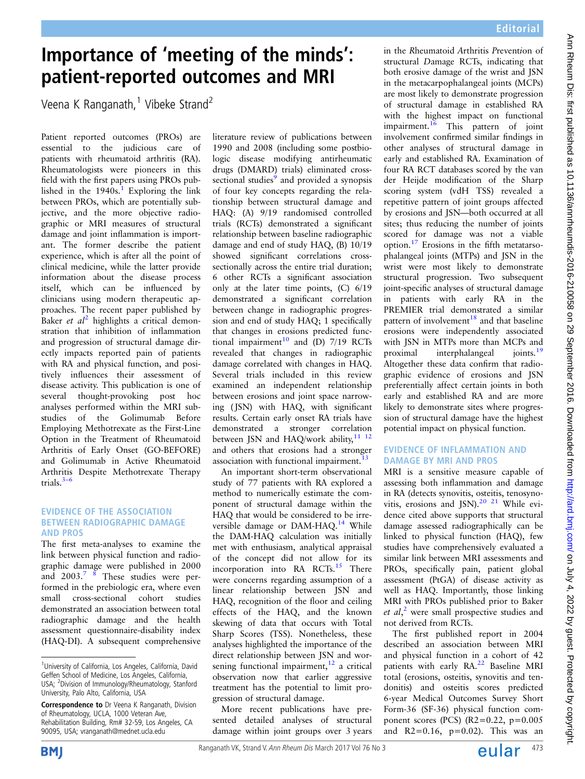## Importance of 'meeting of the minds': patient-reported outcomes and MRI

Veena K Ranganath,<sup>1</sup> Vibeke Strand<sup>2</sup>

Patient reported outcomes (PROs) are essential to the judicious care of patients with rheumatoid arthritis (RA). Rheumatologists were pioneers in this field with the first papers using PROs published in the  $1940s$  $1940s$ .<sup>1</sup> Exploring the link between PROs, which are potentially subjective, and the more objective radiographic or MRI measures of structural damage and joint inflammation is important. The former describe the patient experience, which is after all the point of clinical medicine, while the latter provide information about the disease process itself, which can be influenced by clinicians using modern therapeutic approaches. The recent paper published by Baker et  $al^2$  $al^2$  highlights a critical demonstration that inhibition of inflammation and progression of structural damage directly impacts reported pain of patients with RA and physical function, and positively influences their assessment of disease activity. This publication is one of several thought-provoking post hoc analyses performed within the MRI substudies of the Golimumab Before Employing Methotrexate as the First-Line Option in the Treatment of Rheumatoid Arthritis of Early Onset (GO-BEFORE) and Golimumab in Active Rheumatoid Arthritis Despite Methotrexate Therapy trials. $3-6$  $3-6$ 

## EVIDENCE OF THE ASSOCIATION BETWEEN RADIOGRAPHIC DAMAGE AND PROS

The first meta-analyses to examine the link between physical function and radiographic damage were published in 2000 and 2003.<sup>7</sup> <sup>8</sup> These studies were performed in the prebiologic era, where even small cross-sectional cohort studies demonstrated an association between total radiographic damage and the health assessment questionnaire-disability index (HAQ-DI). A subsequent comprehensive

literature review of publications between 1990 and 2008 (including some postbiologic disease modifying antirheumatic drugs (DMARD) trials) eliminated cross-sectional studies<sup>[9](#page-1-0)</sup> and provided a synopsis of four key concepts regarding the relationship between structural damage and HAQ: (A) 9/19 randomised controlled trials (RCTs) demonstrated a significant relationship between baseline radiographic damage and end of study HAQ, (B) 10/19 showed significant correlations crosssectionally across the entire trial duration; 6 other RCTs a significant association only at the later time points, (C) 6/19 demonstrated a significant correlation between change in radiographic progression and end of study HAQ; 1 specifically that changes in erosions predicted func-tional impairment<sup>[10](#page-1-0)</sup> and  $(D)$  7/19 RCTs revealed that changes in radiographic damage correlated with changes in HAQ. Several trials included in this review examined an independent relationship between erosions and joint space narrowing (JSN) with HAQ, with significant results. Certain early onset RA trials have demonstrated a stronger correlation between JSN and HAQ/work ability, $11^{-12}$ and others that erosions had a stronger association with functional impairment.<sup>1</sup>

An important short-term observational study of 77 patients with RA explored a method to numerically estimate the component of structural damage within the HAQ that would be considered to be irre-versible damage or DAM-HAQ.<sup>[14](#page-2-0)</sup> While the DAM-HAQ calculation was initially met with enthusiasm, analytical appraisal of the concept did not allow for its incorporation into RA RCTs. $15$  There were concerns regarding assumption of a linear relationship between JSN and HAQ, recognition of the floor and ceiling effects of the HAQ, and the known skewing of data that occurs with Total Sharp Scores (TSS). Nonetheless, these analyses highlighted the importance of the direct relationship between JSN and worsening functional impairment, $12$  a critical observation now that earlier aggressive treatment has the potential to limit progression of structural damage.

More recent publications have presented detailed analyses of structural damage within joint groups over 3 years

in the Rheumatoid Arthritis Prevention of structural Damage RCTs, indicating that both erosive damage of the wrist and JSN in the metacarpophalangeal joints (MCPs) are most likely to demonstrate progression of structural damage in established RA with the highest impact on functional impairment. $16$  This pattern of joint involvement confirmed similar findings in other analyses of structural damage in early and established RA. Examination of four RA RCT databases scored by the van der Heijde modification of the Sharp scoring system (vdH TSS) revealed a repetitive pattern of joint groups affected by erosions and JSN—both occurred at all sites; thus reducing the number of joints scored for damage was not a viable option.[17](#page-2-0) Erosions in the fifth metatarsophalangeal joints (MTPs) and JSN in the wrist were most likely to demonstrate structural progression. Two subsequent joint-specific analyses of structural damage in patients with early RA in the PREMIER trial demonstrated a similar pattern of involvement $18$  and that baseline erosions were independently associated with JSN in MTPs more than MCPs and<br>proximal interphalangeal ioints.<sup>19</sup> proximal interphalangeal Altogether these data confirm that radiographic evidence of erosions and JSN preferentially affect certain joints in both early and established RA and are more likely to demonstrate sites where progression of structural damage have the highest potential impact on physical function. **Example of the minds'.** The scalar model which the main of the mind of the mind of the mind of the mind of the mind of the mind of the mind of the mind of the minimum control of the minimum control of the minimum control

## EVIDENCE OF INFLAMMATION AND DAMAGE BY MRI AND PROS

MRI is a sensitive measure capable of assessing both inflammation and damage in RA (detects synovitis, osteitis, tenosynovitis, erosions and JSN).<sup>20</sup> <sup>21</sup> While evidence cited above supports that structural damage assessed radiographically can be linked to physical function (HAQ), few studies have comprehensively evaluated a similar link between MRI assessments and PROs, specifically pain, patient global assessment (PtGA) of disease activity as well as HAQ. Importantly, those linking MRI with PROs published prior to Baker et  $al$ ,<sup>[2](#page-1-0)</sup> were small prospective studies and not derived from RCTs.

The first published report in 2004 described an association between MRI and physical function in a cohort of 42 patients with early RA.<sup>[22](#page-2-0)</sup> Baseline MRI total (erosions, osteitis, synovitis and tendonitis) and osteitis scores predicted 6-year Medical Outcomes Survey Short Form-36 (SF-36) physical function component scores (PCS) (R2=0.22,  $p=0.005$ and  $R2 = 0.16$ ,  $p = 0.02$ ). This was an



<sup>&</sup>lt;sup>1</sup>University of California, Los Angeles, California, David Geffen School of Medicine, Los Angeles, California, USA; <sup>2</sup>Division of Immunology/Rheumatology, Stanford University, Palo Alto, California, USA

Correspondence to Dr Veena K Ranganath, Division of Rheumatology, UCLA, 1000 Veteran Ave, Rehabilitation Building, Rm# 32-59, Los Angeles, CA 90095, USA; vranganath@mednet.ucla.edu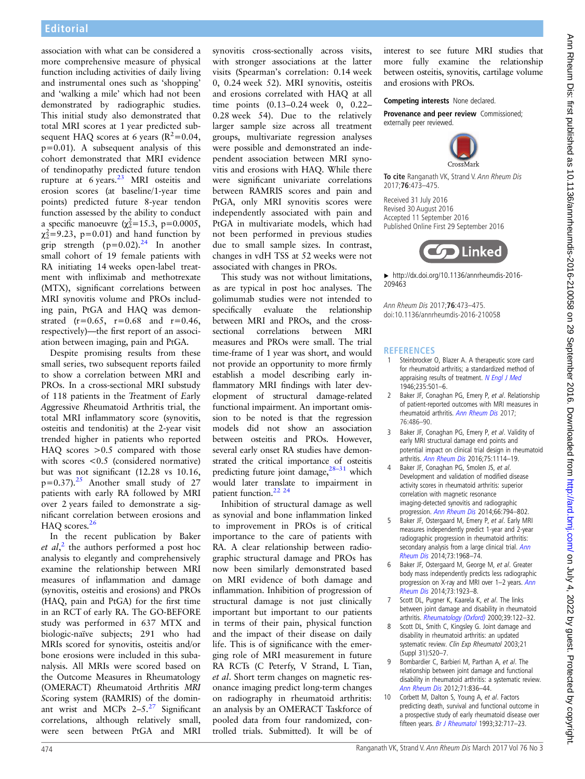<span id="page-1-0"></span>association with what can be considered a more comprehensive measure of physical function including activities of daily living and instrumental ones such as 'shopping' and 'walking a mile' which had not been demonstrated by radiographic studies. This initial study also demonstrated that total MRI scores at 1 year predicted subsequent HAQ scores at 6 years  $(R^2=0.04,$  $p=0.01$ ). A subsequent analysis of this cohort demonstrated that MRI evidence of tendinopathy predicted future tendon rupture at  $6$  years.<sup>[23](#page-2-0)</sup> MRI osteitis and erosion scores (at baseline/1-year time points) predicted future 8-year tendon function assessed by the ability to conduct a specific manoeuvre ( $\chi^2 = 15.3$ , p=0.0005,  $\chi^2$ =9.23, p=0.01) and hand function by grip strength  $(p=0.02)$ .<sup>[24](#page-2-0)</sup> In another small cohort of 19 female patients with RA initiating 14 weeks open-label treatment with infliximab and methotrexate (MTX), significant correlations between MRI synovitis volume and PROs including pain, PtGA and HAQ was demonstrated  $(r=0.65, r=0.68$  and  $r=0.46$ , respectively)—the first report of an association between imaging, pain and PtGA. essente est viviva e de construer de mandato a relativa de mandato e a construer de mandato e a construer de mandato de mandato de mandato de mandato de mandato de mandato de mandato de mandato de mandato de mandato de ma

Despite promising results from these small series, two subsequent reports failed to show a correlation between MRI and PROs. In a cross-sectional MRI substudy of 118 patients in the Treatment of Early Aggressive Rheumatoid Arthritis trial, the total MRI inflammatory score (synovitis, osteitis and tendonitis) at the 2-year visit trended higher in patients who reported HAQ scores >0.5 compared with those with scores <0.5 (considered normative) but was not significant (12.28 vs 10.16,  $p=0.37$ ).<sup>[25](#page-2-0)</sup> Another small study of 27 patients with early RA followed by MRI over 2 years failed to demonstrate a significant correlation between erosions and HAQ scores. $26$ 

In the recent publication by Baker et  $al$ ,<sup>2</sup> the authors performed a post hoc analysis to elegantly and comprehensively examine the relationship between MRI measures of inflammation and damage (synovitis, osteitis and erosions) and PROs (HAQ, pain and PtGA) for the first time in an RCT of early RA. The GO-BEFORE study was performed in 637 MTX and biologic-naïve subjects; 291 who had MRIs scored for synovitis, osteitis and/or bone erosions were included in this subanalysis. All MRIs were scored based on the Outcome Measures in Rheumatology (OMERACT) Rheumatoid Arthritis MRI Scoring system (RAMRIS) of the dominant wrist and MCPs  $2-5.^{27}$  $2-5.^{27}$  $2-5.^{27}$  Significant correlations, although relatively small, were seen between PtGA and MRI

synovitis cross-sectionally across visits, with stronger associations at the latter visits (Spearman's correlation: 0.14 week 0, 0.24 week 52). MRI synovitis, osteitis and erosions correlated with HAQ at all time points (0.13–0.24 week 0, 0.22– 0.28 week 54). Due to the relatively larger sample size across all treatment groups, multivariate regression analyses were possible and demonstrated an independent association between MRI synovitis and erosions with HAQ. While there were significant univariate correlations between RAMRIS scores and pain and PtGA, only MRI synovitis scores were independently associated with pain and PtGA in multivariate models, which had not been performed in previous studies due to small sample sizes. In contrast, changes in vdH TSS at 52 weeks were not associated with changes in PROs.

This study was not without limitations, as are typical in post hoc analyses. The golimumab studies were not intended to specifically evaluate the relationship between MRI and PROs, and the crosssectional correlations between MRI measures and PROs were small. The trial time-frame of 1 year was short, and would not provide an opportunity to more firmly establish a model describing early inflammatory MRI findings with later development of structural damage-related functional impairment. An important omission to be noted is that the regression models did not show an association between osteitis and PROs. However, several early onset RA studies have demonstrated the critical importance of osteitis predicting future joint damage,<sup>[28](#page-2-0)-31</sup> which would later translate to impairment in patient function.<sup>22</sup><sup>24</sup>

Inhibition of structural damage as well as synovial and bone inflammation linked to improvement in PROs is of critical importance to the care of patients with RA. A clear relationship between radiographic structural damage and PROs has now been similarly demonstrated based on MRI evidence of both damage and inflammation. Inhibition of progression of structural damage is not just clinically important but important to our patients in terms of their pain, physical function and the impact of their disease on daily life. This is of significance with the emerging role of MRI measurement in future RA RCTs (C Peterfy, V Strand, L Tian, et al. Short term changes on magnetic resonance imaging predict long-term changes on radiography in rheumatoid arthritis: an analysis by an OMERACT Taskforce of pooled data from four randomized, controlled trials. Submitted). It will be of

interest to see future MRI studies that more fully examine the relationship between osteitis, synovitis, cartilage volume and erosions with PROs.

Competing interests None declared.

Provenance and peer review Commissioned: externally peer reviewed.



**To cite** Ranganath VK, Strand V. Ann Rheum Dis 2017;**76**:473–475.

Received 31 July 2016 Revised 30 August 2016 Accepted 11 September 2016 Published Online First 29 September 2016



▸ [http://dx.doi.org/10.1136/annrheumdis-2016-](http://dx.doi.org/10.1136/annrheumdis-2016-209463) [209463](http://dx.doi.org/10.1136/annrheumdis-2016-209463)

Ann Rheum Dis 2017;**76**:473–475. doi:10.1136/annrheumdis-2016-210058

## **REFERENCES**

- 1 Steinbrocker O, Blazer A. A therapeutic score card for rheumatoid arthritis; a standardized method of appraising results of treatment. [N Engl J Med](http://dx.doi.org/10.1056/NEJM194610032351401) 1946;235:501–6.
- 2 Baker JF, Conaghan PG, Emery P, et al. Relationship of patient-reported outcomes with MRI measures in rheumatoid arthritis. [Ann Rheum Dis](http://dx.doi.org/10.1136/annrheumdis-2016-209463) 2017; 76:486–90.
- 3 Baker JF, Conaghan PG, Emery P, et al. Validity of early MRI structural damage end points and potential impact on clinical trial design in rheumatoid arthritis. Ann Rheum Dis 2016;75:1114–19.
- 4 Baker JF, [Conaghan PG,](http://dx.doi.org/10.1136/annrheumdis-2014-206934) Smolen JS, et al. Development and validation of modified disease activity scores in rheumatoid arthritis: superior correlation with magnetic resonance imaging-detected synovitis and radiographic
- progression. Ann Rheum Dis 2014;66:794–802. 5 Baker JF, Os[tergaard M, Eme](http://dx.doi.org/10.1002/art.38304)ry P, et al. Early MRI measures independently predict 1-year and 2-year radiographic progression in rheumatoid arthritis: secondary analysis from a large clinical trial. Ann
- Rheum Dis 2014;73:1968–74. 6 [Baker JF, O](http://dx.doi.org/10.1136/annrheumdis-2013-203444)stergaard M, George M, et al. Greater body mass independently predicts less radiographic progression on X-ray and MRI over 1–2 years. Ann Rheum Dis 2014;73:1923–8.
- 7 [Scott DL, P](http://dx.doi.org/10.1136/annrheumdis-2014-205544)ugner K, Kaarela K, et al. The links between joint damage and disability in rheumatoid arthritis. Rheumatology (Oxford) 2000;39:122–32.
- 8 Scott DL, [Smith C, Kingsley G. J](http://dx.doi.org/10.1093/rheumatology/39.2.122)oint damage and disability in rheumatoid arthritis: an updated systematic review. Clin Exp Rheumatol 2003;21 (Suppl 31):S20–7.
- 9 Bombardier C, Barbieri M, Parthan A, et al. The relationship between joint damage and functional disability in rheumatoid arthritis: a systematic review. Ann Rheum Dis 2012;71:836–44.
- 10 [Corbett M, Dalto](http://dx.doi.org/10.1136/annrheumdis-2011-200343)n S, Young A, et al. Factors predicting death, survival and functional outcome in a prospective study of early rheumatoid disease over fifteen years. Br J Rheumatol 1993;32:717-23.